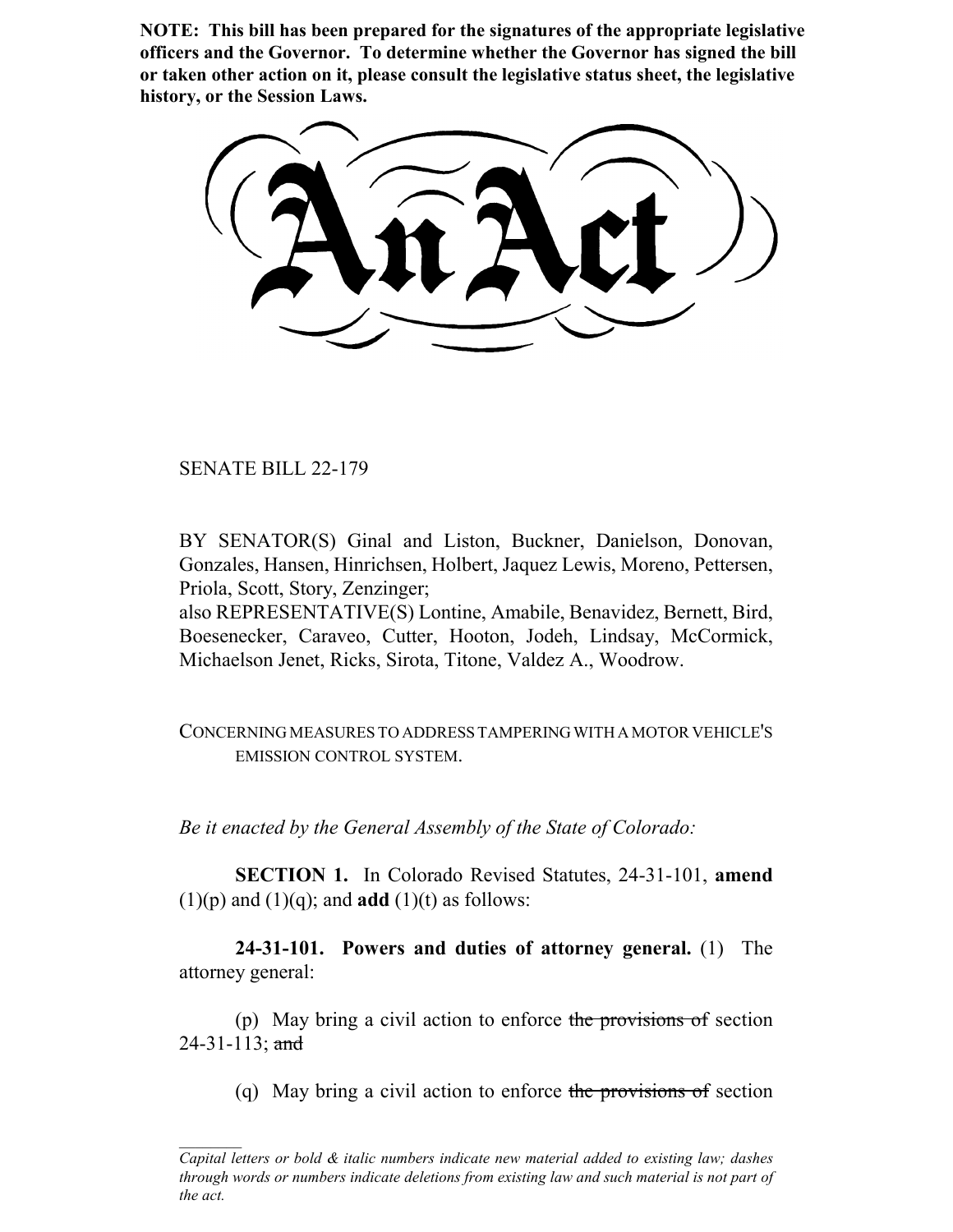**NOTE: This bill has been prepared for the signatures of the appropriate legislative officers and the Governor. To determine whether the Governor has signed the bill or taken other action on it, please consult the legislative status sheet, the legislative history, or the Session Laws.**

SENATE BILL 22-179

BY SENATOR(S) Ginal and Liston, Buckner, Danielson, Donovan, Gonzales, Hansen, Hinrichsen, Holbert, Jaquez Lewis, Moreno, Pettersen, Priola, Scott, Story, Zenzinger;

also REPRESENTATIVE(S) Lontine, Amabile, Benavidez, Bernett, Bird, Boesenecker, Caraveo, Cutter, Hooton, Jodeh, Lindsay, McCormick, Michaelson Jenet, Ricks, Sirota, Titone, Valdez A., Woodrow.

CONCERNING MEASURES TO ADDRESS TAMPERING WITH A MOTOR VEHICLE'S EMISSION CONTROL SYSTEM.

*Be it enacted by the General Assembly of the State of Colorado:*

**SECTION 1.** In Colorado Revised Statutes, 24-31-101, **amend**  $(1)(p)$  and  $(1)(q)$ ; and **add**  $(1)(t)$  as follows:

**24-31-101. Powers and duties of attorney general.** (1) The attorney general:

(p) May bring a civil action to enforce the provisions of section 24-31-113; and

(q) May bring a civil action to enforce the provisions of section

*Capital letters or bold & italic numbers indicate new material added to existing law; dashes through words or numbers indicate deletions from existing law and such material is not part of the act.*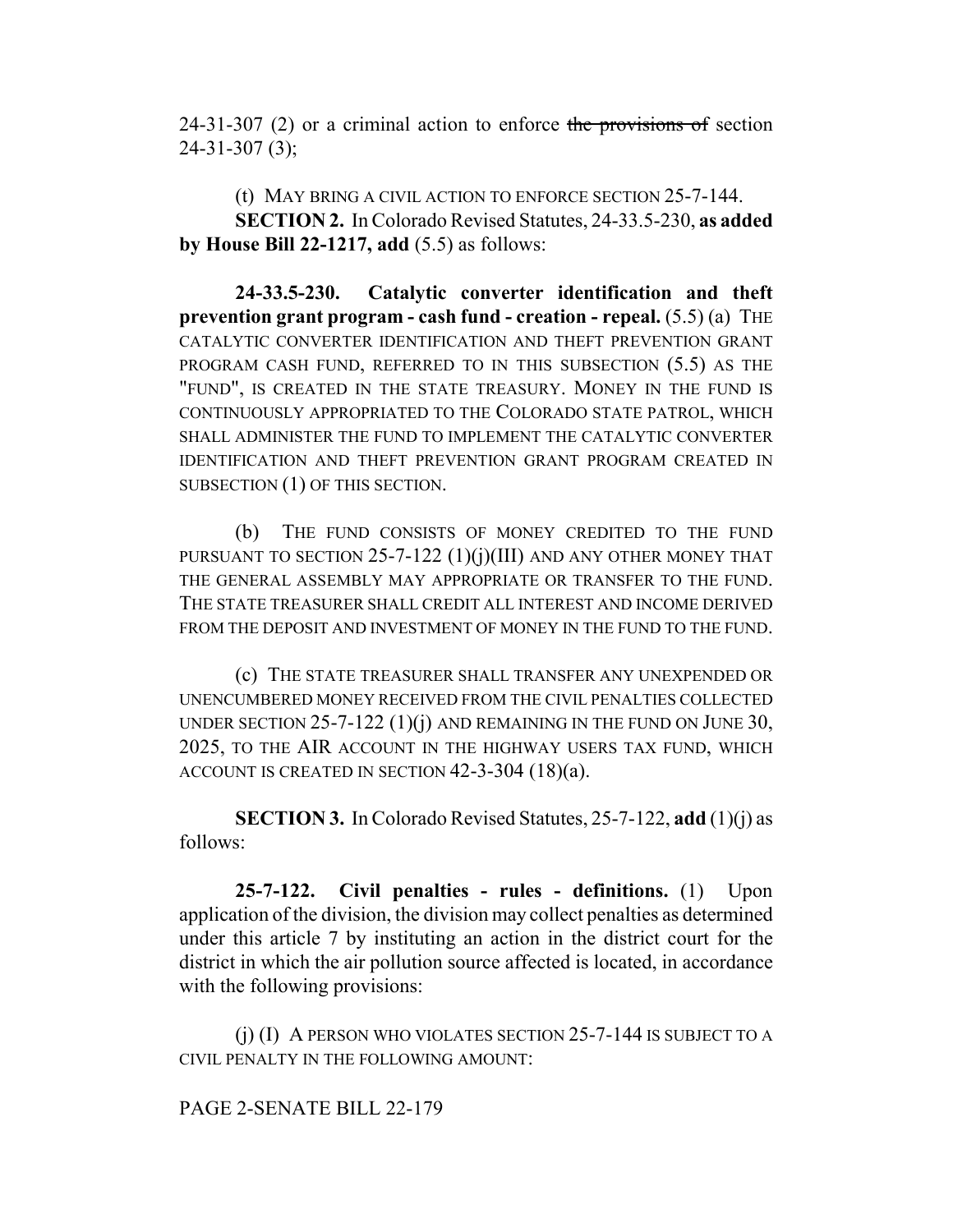24-31-307 (2) or a criminal action to enforce the provisions of section 24-31-307 (3);

(t) MAY BRING A CIVIL ACTION TO ENFORCE SECTION 25-7-144. **SECTION 2.** In Colorado Revised Statutes, 24-33.5-230, **as added by House Bill 22-1217, add** (5.5) as follows:

**24-33.5-230. Catalytic converter identification and theft prevention grant program - cash fund - creation - repeal.** (5.5) (a) THE CATALYTIC CONVERTER IDENTIFICATION AND THEFT PREVENTION GRANT PROGRAM CASH FUND, REFERRED TO IN THIS SUBSECTION (5.5) AS THE "FUND", IS CREATED IN THE STATE TREASURY. MONEY IN THE FUND IS CONTINUOUSLY APPROPRIATED TO THE COLORADO STATE PATROL, WHICH SHALL ADMINISTER THE FUND TO IMPLEMENT THE CATALYTIC CONVERTER IDENTIFICATION AND THEFT PREVENTION GRANT PROGRAM CREATED IN SUBSECTION (1) OF THIS SECTION.

(b) THE FUND CONSISTS OF MONEY CREDITED TO THE FUND PURSUANT TO SECTION  $25$ -7-122 (1)(j)(III) AND ANY OTHER MONEY THAT THE GENERAL ASSEMBLY MAY APPROPRIATE OR TRANSFER TO THE FUND. THE STATE TREASURER SHALL CREDIT ALL INTEREST AND INCOME DERIVED FROM THE DEPOSIT AND INVESTMENT OF MONEY IN THE FUND TO THE FUND.

(c) THE STATE TREASURER SHALL TRANSFER ANY UNEXPENDED OR UNENCUMBERED MONEY RECEIVED FROM THE CIVIL PENALTIES COLLECTED UNDER SECTION  $25$ -7-122  $(1)(j)$  and remaining in the fund on June 30, 2025, TO THE AIR ACCOUNT IN THE HIGHWAY USERS TAX FUND, WHICH ACCOUNT IS CREATED IN SECTION 42-3-304 (18)(a).

**SECTION 3.** In Colorado Revised Statutes, 25-7-122, **add** (1)(j) as follows:

**25-7-122. Civil penalties - rules - definitions.** (1) Upon application of the division, the division may collect penalties as determined under this article 7 by instituting an action in the district court for the district in which the air pollution source affected is located, in accordance with the following provisions:

(j) (I) A PERSON WHO VIOLATES SECTION 25-7-144 IS SUBJECT TO A CIVIL PENALTY IN THE FOLLOWING AMOUNT:

### PAGE 2-SENATE BILL 22-179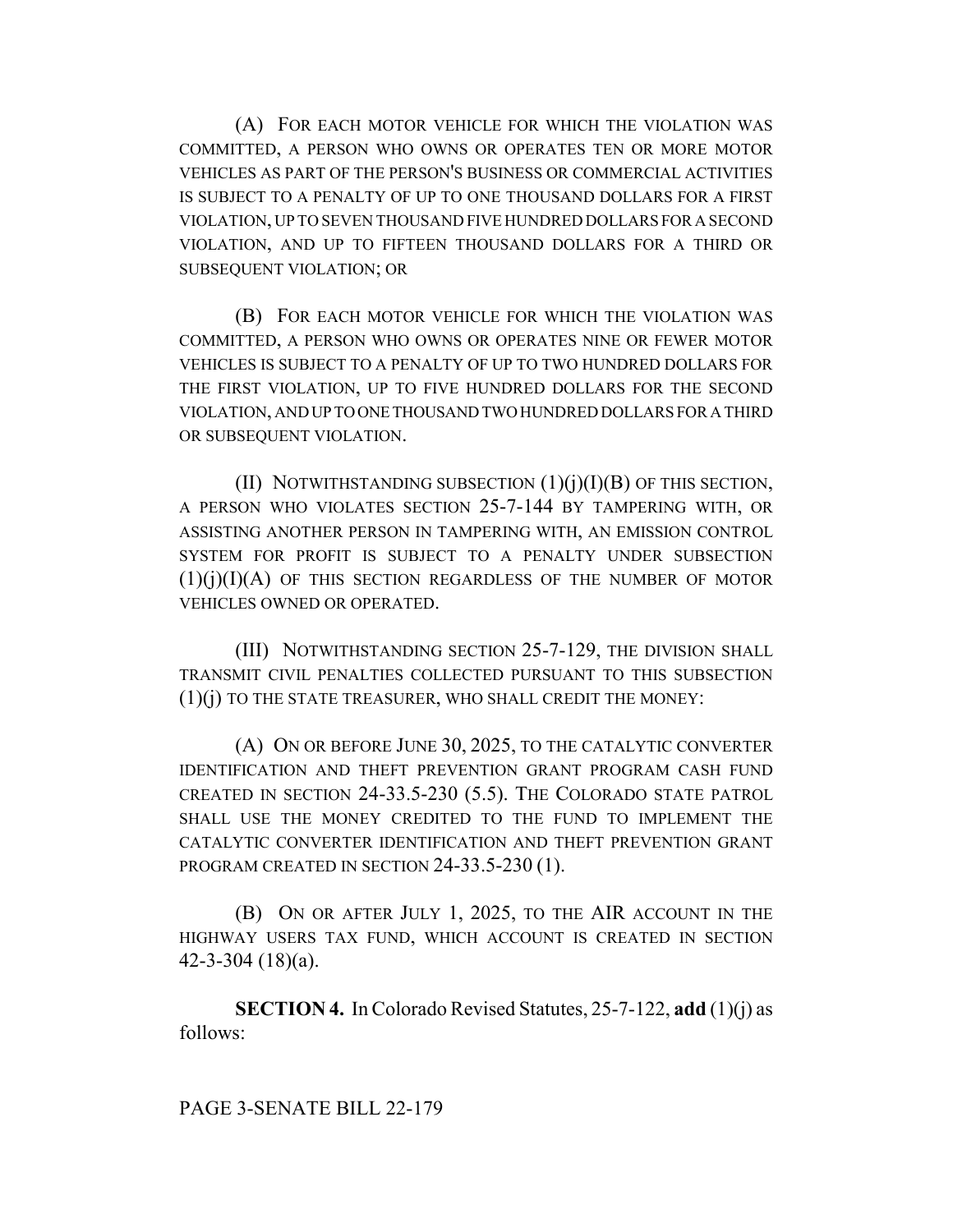(A) FOR EACH MOTOR VEHICLE FOR WHICH THE VIOLATION WAS COMMITTED, A PERSON WHO OWNS OR OPERATES TEN OR MORE MOTOR VEHICLES AS PART OF THE PERSON'S BUSINESS OR COMMERCIAL ACTIVITIES IS SUBJECT TO A PENALTY OF UP TO ONE THOUSAND DOLLARS FOR A FIRST VIOLATION, UP TO SEVEN THOUSAND FIVE HUNDRED DOLLARS FOR A SECOND VIOLATION, AND UP TO FIFTEEN THOUSAND DOLLARS FOR A THIRD OR SUBSEQUENT VIOLATION; OR

(B) FOR EACH MOTOR VEHICLE FOR WHICH THE VIOLATION WAS COMMITTED, A PERSON WHO OWNS OR OPERATES NINE OR FEWER MOTOR VEHICLES IS SUBJECT TO A PENALTY OF UP TO TWO HUNDRED DOLLARS FOR THE FIRST VIOLATION, UP TO FIVE HUNDRED DOLLARS FOR THE SECOND VIOLATION, AND UP TO ONE THOUSAND TWO HUNDRED DOLLARS FOR A THIRD OR SUBSEQUENT VIOLATION.

(II) NOTWITHSTANDING SUBSECTION  $(1)(i)(I)(B)$  OF THIS SECTION, A PERSON WHO VIOLATES SECTION 25-7-144 BY TAMPERING WITH, OR ASSISTING ANOTHER PERSON IN TAMPERING WITH, AN EMISSION CONTROL SYSTEM FOR PROFIT IS SUBJECT TO A PENALTY UNDER SUBSECTION  $(1)(i)(I)(A)$  of this section regardless of the number of motor VEHICLES OWNED OR OPERATED.

(III) NOTWITHSTANDING SECTION 25-7-129, THE DIVISION SHALL TRANSMIT CIVIL PENALTIES COLLECTED PURSUANT TO THIS SUBSECTION (1)(j) TO THE STATE TREASURER, WHO SHALL CREDIT THE MONEY:

(A) ON OR BEFORE JUNE 30, 2025, TO THE CATALYTIC CONVERTER IDENTIFICATION AND THEFT PREVENTION GRANT PROGRAM CASH FUND CREATED IN SECTION 24-33.5-230 (5.5). THE COLORADO STATE PATROL SHALL USE THE MONEY CREDITED TO THE FUND TO IMPLEMENT THE CATALYTIC CONVERTER IDENTIFICATION AND THEFT PREVENTION GRANT PROGRAM CREATED IN SECTION 24-33.5-230 (1).

(B) ON OR AFTER JULY 1, 2025, TO THE AIR ACCOUNT IN THE HIGHWAY USERS TAX FUND, WHICH ACCOUNT IS CREATED IN SECTION 42-3-304 (18)(a).

**SECTION 4.** In Colorado Revised Statutes, 25-7-122, **add** (1)(j) as follows: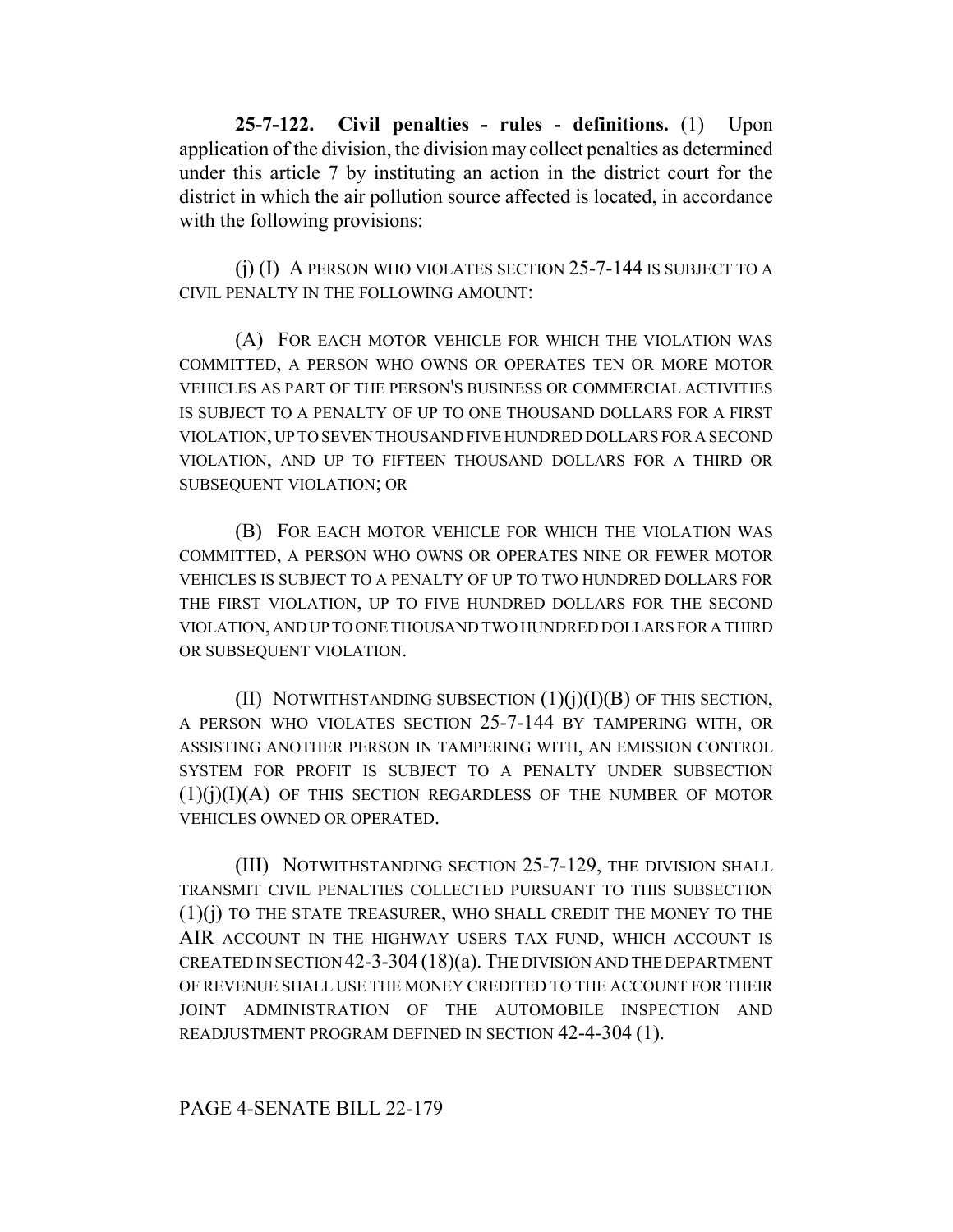**25-7-122. Civil penalties - rules - definitions.** (1) Upon application of the division, the division may collect penalties as determined under this article 7 by instituting an action in the district court for the district in which the air pollution source affected is located, in accordance with the following provisions:

(j) (I) A PERSON WHO VIOLATES SECTION 25-7-144 IS SUBJECT TO A CIVIL PENALTY IN THE FOLLOWING AMOUNT:

(A) FOR EACH MOTOR VEHICLE FOR WHICH THE VIOLATION WAS COMMITTED, A PERSON WHO OWNS OR OPERATES TEN OR MORE MOTOR VEHICLES AS PART OF THE PERSON'S BUSINESS OR COMMERCIAL ACTIVITIES IS SUBJECT TO A PENALTY OF UP TO ONE THOUSAND DOLLARS FOR A FIRST VIOLATION, UP TO SEVEN THOUSAND FIVE HUNDRED DOLLARS FOR A SECOND VIOLATION, AND UP TO FIFTEEN THOUSAND DOLLARS FOR A THIRD OR SUBSEQUENT VIOLATION; OR

(B) FOR EACH MOTOR VEHICLE FOR WHICH THE VIOLATION WAS COMMITTED, A PERSON WHO OWNS OR OPERATES NINE OR FEWER MOTOR VEHICLES IS SUBJECT TO A PENALTY OF UP TO TWO HUNDRED DOLLARS FOR THE FIRST VIOLATION, UP TO FIVE HUNDRED DOLLARS FOR THE SECOND VIOLATION, AND UP TO ONE THOUSAND TWO HUNDRED DOLLARS FOR A THIRD OR SUBSEQUENT VIOLATION.

(II) NOTWITHSTANDING SUBSECTION  $(1)(j)(I)(B)$  OF THIS SECTION, A PERSON WHO VIOLATES SECTION 25-7-144 BY TAMPERING WITH, OR ASSISTING ANOTHER PERSON IN TAMPERING WITH, AN EMISSION CONTROL SYSTEM FOR PROFIT IS SUBJECT TO A PENALTY UNDER SUBSECTION  $(1)(j)(I)(A)$  of this section regardless of the number of motor VEHICLES OWNED OR OPERATED.

(III) NOTWITHSTANDING SECTION 25-7-129, THE DIVISION SHALL TRANSMIT CIVIL PENALTIES COLLECTED PURSUANT TO THIS SUBSECTION (1)(j) TO THE STATE TREASURER, WHO SHALL CREDIT THE MONEY TO THE AIR ACCOUNT IN THE HIGHWAY USERS TAX FUND, WHICH ACCOUNT IS CREATED IN SECTION 42-3-304 (18)(a). THE DIVISION AND THE DEPARTMENT OF REVENUE SHALL USE THE MONEY CREDITED TO THE ACCOUNT FOR THEIR JOINT ADMINISTRATION OF THE AUTOMOBILE INSPECTION AND READJUSTMENT PROGRAM DEFINED IN SECTION 42-4-304 (1).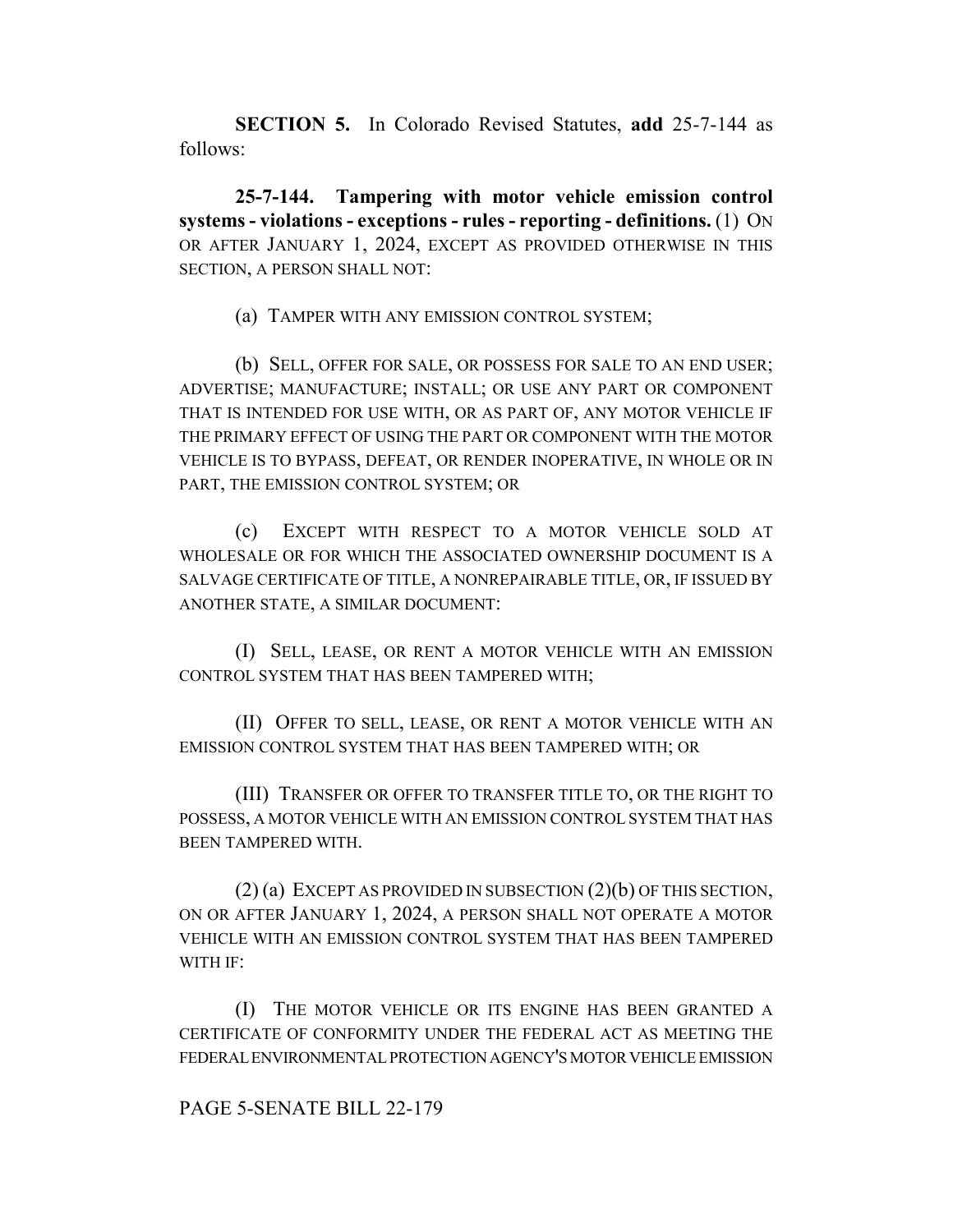**SECTION 5.** In Colorado Revised Statutes, **add** 25-7-144 as follows:

**25-7-144. Tampering with motor vehicle emission control systems - violations - exceptions - rules - reporting - definitions.** (1) ON OR AFTER JANUARY 1, 2024, EXCEPT AS PROVIDED OTHERWISE IN THIS SECTION, A PERSON SHALL NOT:

(a) TAMPER WITH ANY EMISSION CONTROL SYSTEM;

(b) SELL, OFFER FOR SALE, OR POSSESS FOR SALE TO AN END USER; ADVERTISE; MANUFACTURE; INSTALL; OR USE ANY PART OR COMPONENT THAT IS INTENDED FOR USE WITH, OR AS PART OF, ANY MOTOR VEHICLE IF THE PRIMARY EFFECT OF USING THE PART OR COMPONENT WITH THE MOTOR VEHICLE IS TO BYPASS, DEFEAT, OR RENDER INOPERATIVE, IN WHOLE OR IN PART, THE EMISSION CONTROL SYSTEM; OR

(c) EXCEPT WITH RESPECT TO A MOTOR VEHICLE SOLD AT WHOLESALE OR FOR WHICH THE ASSOCIATED OWNERSHIP DOCUMENT IS A SALVAGE CERTIFICATE OF TITLE, A NONREPAIRABLE TITLE, OR, IF ISSUED BY ANOTHER STATE, A SIMILAR DOCUMENT:

(I) SELL, LEASE, OR RENT A MOTOR VEHICLE WITH AN EMISSION CONTROL SYSTEM THAT HAS BEEN TAMPERED WITH;

(II) OFFER TO SELL, LEASE, OR RENT A MOTOR VEHICLE WITH AN EMISSION CONTROL SYSTEM THAT HAS BEEN TAMPERED WITH; OR

(III) TRANSFER OR OFFER TO TRANSFER TITLE TO, OR THE RIGHT TO POSSESS, A MOTOR VEHICLE WITH AN EMISSION CONTROL SYSTEM THAT HAS BEEN TAMPERED WITH.

(2) (a) EXCEPT AS PROVIDED IN SUBSECTION (2)(b) OF THIS SECTION, ON OR AFTER JANUARY 1, 2024, A PERSON SHALL NOT OPERATE A MOTOR VEHICLE WITH AN EMISSION CONTROL SYSTEM THAT HAS BEEN TAMPERED WITH IF:

(I) THE MOTOR VEHICLE OR ITS ENGINE HAS BEEN GRANTED A CERTIFICATE OF CONFORMITY UNDER THE FEDERAL ACT AS MEETING THE FEDERAL ENVIRONMENTAL PROTECTION AGENCY'S MOTOR VEHICLE EMISSION

### PAGE 5-SENATE BILL 22-179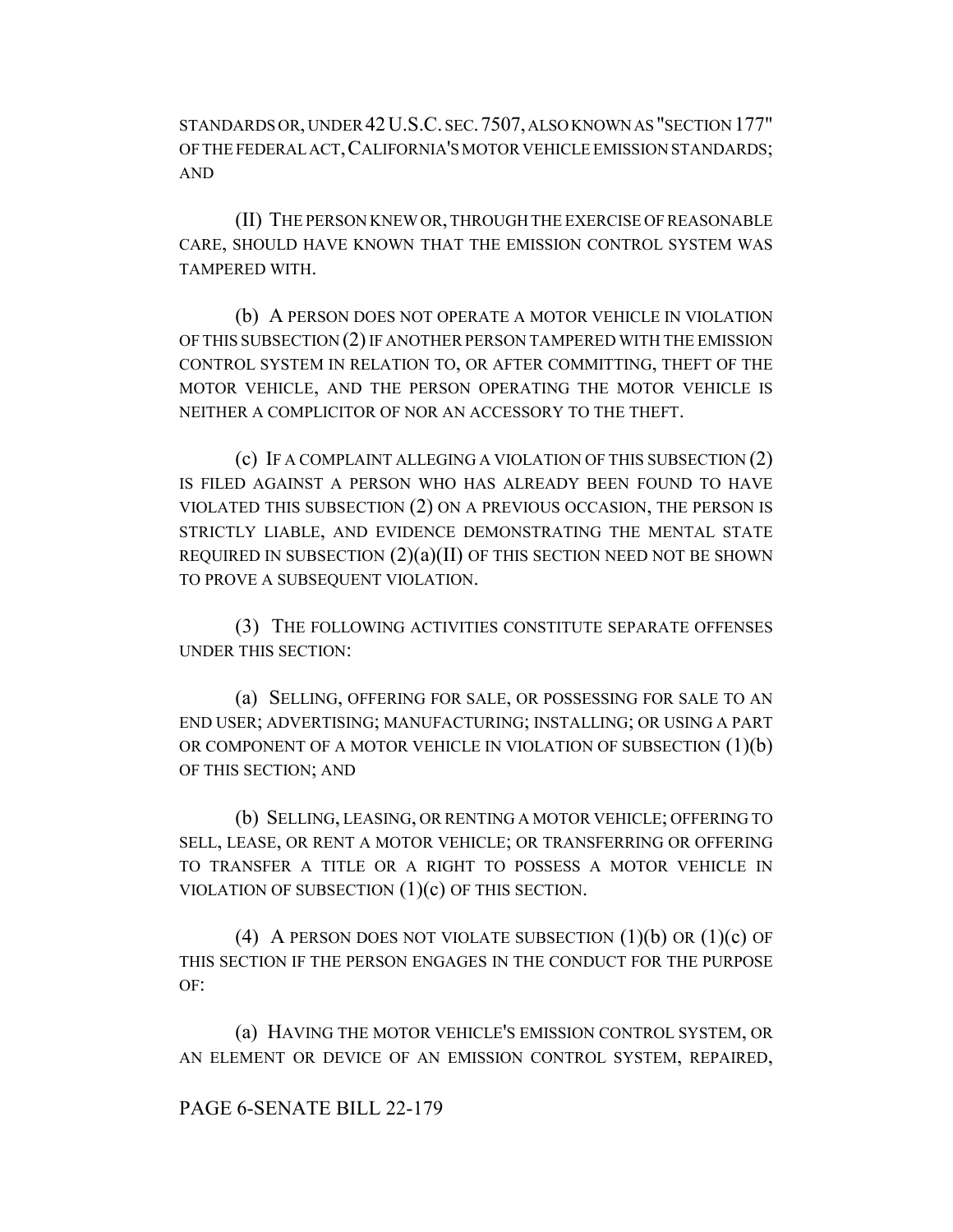STANDARDS OR, UNDER 42U.S.C. SEC.7507, ALSO KNOWN AS "SECTION 177" OF THE FEDERAL ACT,CALIFORNIA'S MOTOR VEHICLE EMISSION STANDARDS; AND

(II) THE PERSON KNEW OR, THROUGH THE EXERCISE OF REASONABLE CARE, SHOULD HAVE KNOWN THAT THE EMISSION CONTROL SYSTEM WAS TAMPERED WITH.

(b) A PERSON DOES NOT OPERATE A MOTOR VEHICLE IN VIOLATION OF THIS SUBSECTION (2) IF ANOTHER PERSON TAMPERED WITH THE EMISSION CONTROL SYSTEM IN RELATION TO, OR AFTER COMMITTING, THEFT OF THE MOTOR VEHICLE, AND THE PERSON OPERATING THE MOTOR VEHICLE IS NEITHER A COMPLICITOR OF NOR AN ACCESSORY TO THE THEFT.

(c) IF A COMPLAINT ALLEGING A VIOLATION OF THIS SUBSECTION (2) IS FILED AGAINST A PERSON WHO HAS ALREADY BEEN FOUND TO HAVE VIOLATED THIS SUBSECTION (2) ON A PREVIOUS OCCASION, THE PERSON IS STRICTLY LIABLE, AND EVIDENCE DEMONSTRATING THE MENTAL STATE REQUIRED IN SUBSECTION  $(2)(a)(II)$  OF THIS SECTION NEED NOT BE SHOWN TO PROVE A SUBSEQUENT VIOLATION.

(3) THE FOLLOWING ACTIVITIES CONSTITUTE SEPARATE OFFENSES UNDER THIS SECTION:

(a) SELLING, OFFERING FOR SALE, OR POSSESSING FOR SALE TO AN END USER; ADVERTISING; MANUFACTURING; INSTALLING; OR USING A PART OR COMPONENT OF A MOTOR VEHICLE IN VIOLATION OF SUBSECTION  $(1)(b)$ OF THIS SECTION; AND

(b) SELLING, LEASING, OR RENTING A MOTOR VEHICLE; OFFERING TO SELL, LEASE, OR RENT A MOTOR VEHICLE; OR TRANSFERRING OR OFFERING TO TRANSFER A TITLE OR A RIGHT TO POSSESS A MOTOR VEHICLE IN VIOLATION OF SUBSECTION  $(1)(c)$  OF THIS SECTION.

(4) A PERSON DOES NOT VIOLATE SUBSECTION  $(1)(b)$  OR  $(1)(c)$  OF THIS SECTION IF THE PERSON ENGAGES IN THE CONDUCT FOR THE PURPOSE OF:

(a) HAVING THE MOTOR VEHICLE'S EMISSION CONTROL SYSTEM, OR AN ELEMENT OR DEVICE OF AN EMISSION CONTROL SYSTEM, REPAIRED,

# PAGE 6-SENATE BILL 22-179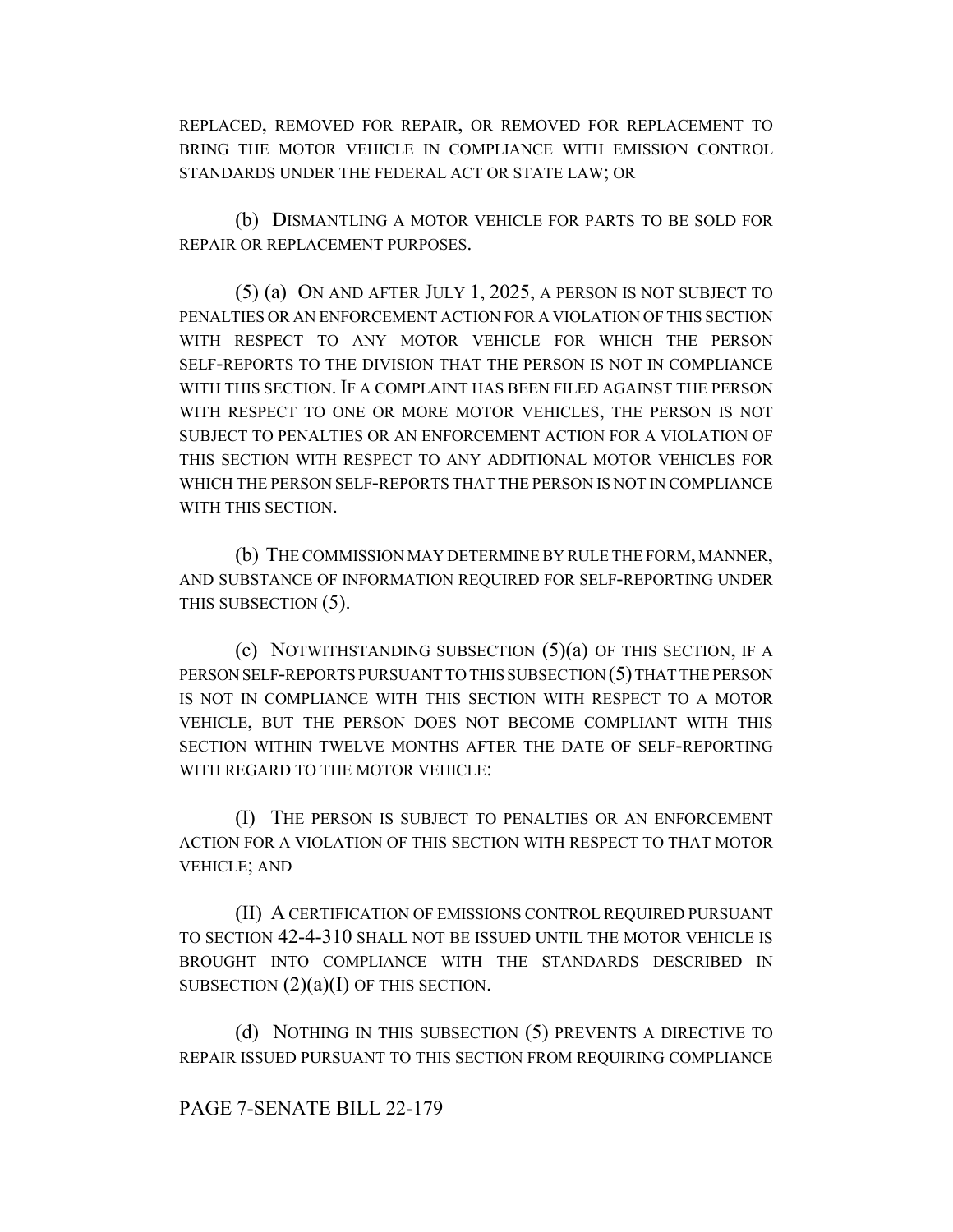REPLACED, REMOVED FOR REPAIR, OR REMOVED FOR REPLACEMENT TO BRING THE MOTOR VEHICLE IN COMPLIANCE WITH EMISSION CONTROL STANDARDS UNDER THE FEDERAL ACT OR STATE LAW; OR

(b) DISMANTLING A MOTOR VEHICLE FOR PARTS TO BE SOLD FOR REPAIR OR REPLACEMENT PURPOSES.

(5) (a) ON AND AFTER JULY 1, 2025, A PERSON IS NOT SUBJECT TO PENALTIES OR AN ENFORCEMENT ACTION FOR A VIOLATION OF THIS SECTION WITH RESPECT TO ANY MOTOR VEHICLE FOR WHICH THE PERSON SELF-REPORTS TO THE DIVISION THAT THE PERSON IS NOT IN COMPLIANCE WITH THIS SECTION. IF A COMPLAINT HAS BEEN FILED AGAINST THE PERSON WITH RESPECT TO ONE OR MORE MOTOR VEHICLES, THE PERSON IS NOT SUBJECT TO PENALTIES OR AN ENFORCEMENT ACTION FOR A VIOLATION OF THIS SECTION WITH RESPECT TO ANY ADDITIONAL MOTOR VEHICLES FOR WHICH THE PERSON SELF-REPORTS THAT THE PERSON IS NOT IN COMPLIANCE WITH THIS SECTION.

(b) THE COMMISSION MAY DETERMINE BY RULE THE FORM, MANNER, AND SUBSTANCE OF INFORMATION REQUIRED FOR SELF-REPORTING UNDER THIS SUBSECTION (5).

(c) NOTWITHSTANDING SUBSECTION  $(5)(a)$  OF THIS SECTION, IF A PERSON SELF-REPORTS PURSUANT TO THIS SUBSECTION (5) THAT THE PERSON IS NOT IN COMPLIANCE WITH THIS SECTION WITH RESPECT TO A MOTOR VEHICLE, BUT THE PERSON DOES NOT BECOME COMPLIANT WITH THIS SECTION WITHIN TWELVE MONTHS AFTER THE DATE OF SELF-REPORTING WITH REGARD TO THE MOTOR VEHICLE:

(I) THE PERSON IS SUBJECT TO PENALTIES OR AN ENFORCEMENT ACTION FOR A VIOLATION OF THIS SECTION WITH RESPECT TO THAT MOTOR VEHICLE; AND

(II) A CERTIFICATION OF EMISSIONS CONTROL REQUIRED PURSUANT TO SECTION 42-4-310 SHALL NOT BE ISSUED UNTIL THE MOTOR VEHICLE IS BROUGHT INTO COMPLIANCE WITH THE STANDARDS DESCRIBED IN SUBSECTION  $(2)(a)(I)$  OF THIS SECTION.

(d) NOTHING IN THIS SUBSECTION (5) PREVENTS A DIRECTIVE TO REPAIR ISSUED PURSUANT TO THIS SECTION FROM REQUIRING COMPLIANCE

# PAGE 7-SENATE BILL 22-179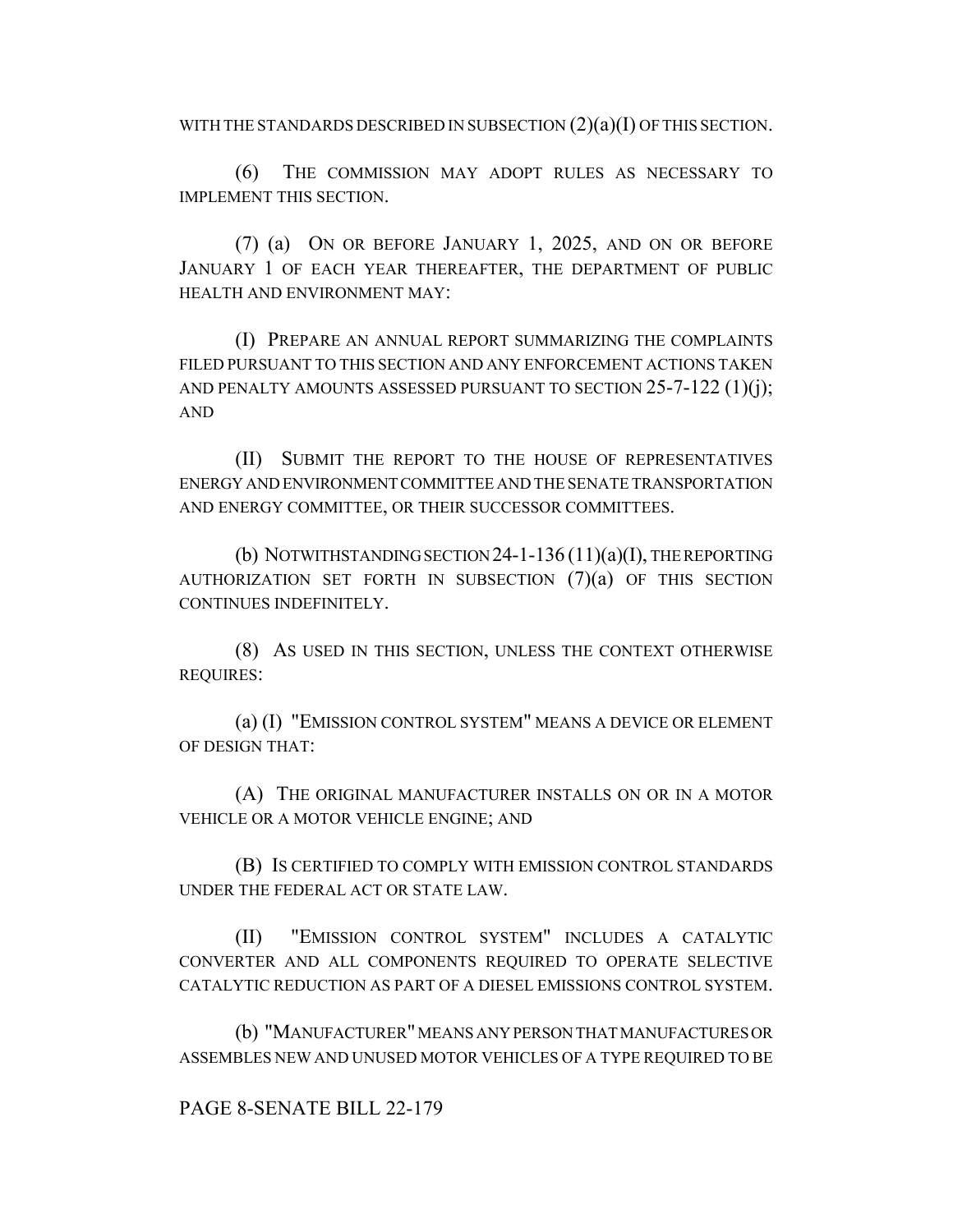WITH THE STANDARDS DESCRIBED IN SUBSECTION  $(2)(a)(I)$  OF THIS SECTION.

(6) THE COMMISSION MAY ADOPT RULES AS NECESSARY TO IMPLEMENT THIS SECTION.

(7) (a) ON OR BEFORE JANUARY 1, 2025, AND ON OR BEFORE JANUARY 1 OF EACH YEAR THEREAFTER, THE DEPARTMENT OF PUBLIC HEALTH AND ENVIRONMENT MAY:

(I) PREPARE AN ANNUAL REPORT SUMMARIZING THE COMPLAINTS FILED PURSUANT TO THIS SECTION AND ANY ENFORCEMENT ACTIONS TAKEN AND PENALTY AMOUNTS ASSESSED PURSUANT TO SECTION  $25$ -7-122 (1)(j); AND

(II) SUBMIT THE REPORT TO THE HOUSE OF REPRESENTATIVES ENERGY AND ENVIRONMENT COMMITTEE AND THE SENATE TRANSPORTATION AND ENERGY COMMITTEE, OR THEIR SUCCESSOR COMMITTEES.

(b) NOTWITHSTANDING SECTION  $24$ -1-136 (11)(a)(I), THE REPORTING AUTHORIZATION SET FORTH IN SUBSECTION  $(7)(a)$  of this section CONTINUES INDEFINITELY.

(8) AS USED IN THIS SECTION, UNLESS THE CONTEXT OTHERWISE REQUIRES:

(a) (I) "EMISSION CONTROL SYSTEM" MEANS A DEVICE OR ELEMENT OF DESIGN THAT:

(A) THE ORIGINAL MANUFACTURER INSTALLS ON OR IN A MOTOR VEHICLE OR A MOTOR VEHICLE ENGINE; AND

(B) IS CERTIFIED TO COMPLY WITH EMISSION CONTROL STANDARDS UNDER THE FEDERAL ACT OR STATE LAW.

(II) "EMISSION CONTROL SYSTEM" INCLUDES A CATALYTIC CONVERTER AND ALL COMPONENTS REQUIRED TO OPERATE SELECTIVE CATALYTIC REDUCTION AS PART OF A DIESEL EMISSIONS CONTROL SYSTEM.

(b) "MANUFACTURER" MEANS ANY PERSON THAT MANUFACTURES OR ASSEMBLES NEW AND UNUSED MOTOR VEHICLES OF A TYPE REQUIRED TO BE

# PAGE 8-SENATE BILL 22-179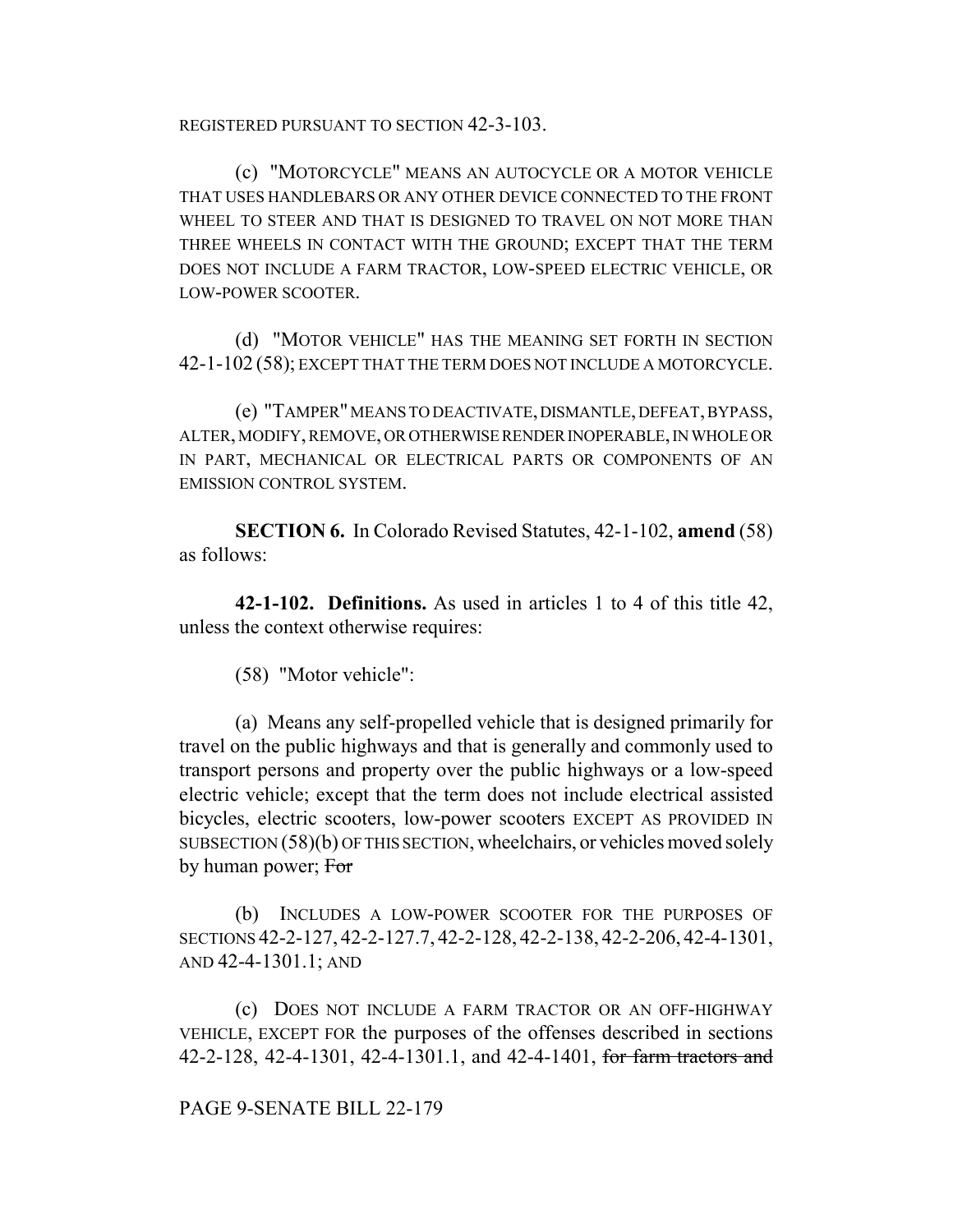REGISTERED PURSUANT TO SECTION 42-3-103.

(c) "MOTORCYCLE" MEANS AN AUTOCYCLE OR A MOTOR VEHICLE THAT USES HANDLEBARS OR ANY OTHER DEVICE CONNECTED TO THE FRONT WHEEL TO STEER AND THAT IS DESIGNED TO TRAVEL ON NOT MORE THAN THREE WHEELS IN CONTACT WITH THE GROUND; EXCEPT THAT THE TERM DOES NOT INCLUDE A FARM TRACTOR, LOW-SPEED ELECTRIC VEHICLE, OR LOW-POWER SCOOTER.

(d) "MOTOR VEHICLE" HAS THE MEANING SET FORTH IN SECTION 42-1-102 (58); EXCEPT THAT THE TERM DOES NOT INCLUDE A MOTORCYCLE.

(e) "TAMPER" MEANS TO DEACTIVATE, DISMANTLE, DEFEAT, BYPASS, ALTER, MODIFY, REMOVE, OR OTHERWISE RENDER INOPERABLE, IN WHOLE OR IN PART, MECHANICAL OR ELECTRICAL PARTS OR COMPONENTS OF AN EMISSION CONTROL SYSTEM.

**SECTION 6.** In Colorado Revised Statutes, 42-1-102, **amend** (58) as follows:

**42-1-102. Definitions.** As used in articles 1 to 4 of this title 42, unless the context otherwise requires:

(58) "Motor vehicle":

(a) Means any self-propelled vehicle that is designed primarily for travel on the public highways and that is generally and commonly used to transport persons and property over the public highways or a low-speed electric vehicle; except that the term does not include electrical assisted bicycles, electric scooters, low-power scooters EXCEPT AS PROVIDED IN SUBSECTION (58)(b) OF THIS SECTION, wheelchairs, or vehicles moved solely by human power; For

(b) INCLUDES A LOW-POWER SCOOTER FOR THE PURPOSES OF SECTIONS 42-2-127, 42-2-127.7, 42-2-128, 42-2-138, 42-2-206, 42-4-1301, AND 42-4-1301.1; AND

(c) DOES NOT INCLUDE A FARM TRACTOR OR AN OFF-HIGHWAY VEHICLE, EXCEPT FOR the purposes of the offenses described in sections 42-2-128, 42-4-1301, 42-4-1301.1, and 42-4-1401, for farm tractors and

PAGE 9-SENATE BILL 22-179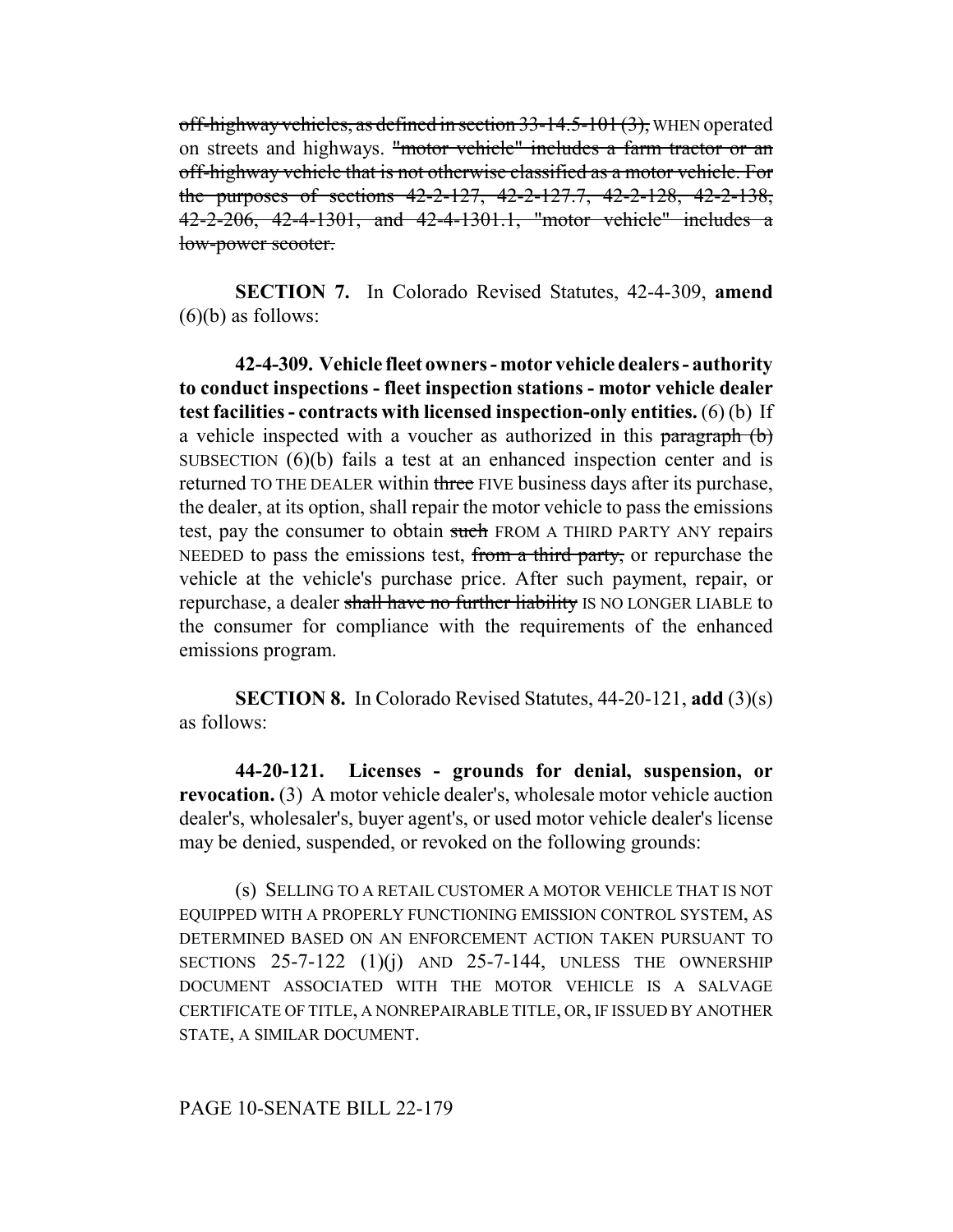off-highway vehicles, as defined in section 33-14.5-101 (3), WHEN operated on streets and highways. "motor vehicle" includes a farm tractor or an off-highway vehicle that is not otherwise classified as a motor vehicle. For the purposes of sections 42-2-127, 42-2-127.7, 42-2-128, 42-2-138, 42-2-206, 42-4-1301, and 42-4-1301.1, "motor vehicle" includes a low-power scooter.

**SECTION 7.** In Colorado Revised Statutes, 42-4-309, **amend**  $(6)(b)$  as follows:

**42-4-309. Vehicle fleet owners - motor vehicle dealers - authority to conduct inspections - fleet inspection stations - motor vehicle dealer test facilities - contracts with licensed inspection-only entities.** (6) (b) If a vehicle inspected with a voucher as authorized in this paragraph (b) SUBSECTION (6)(b) fails a test at an enhanced inspection center and is returned TO THE DEALER within three FIVE business days after its purchase, the dealer, at its option, shall repair the motor vehicle to pass the emissions test, pay the consumer to obtain such FROM A THIRD PARTY ANY repairs NEEDED to pass the emissions test, from a third party, or repurchase the vehicle at the vehicle's purchase price. After such payment, repair, or repurchase, a dealer shall have no further liability IS NO LONGER LIABLE to the consumer for compliance with the requirements of the enhanced emissions program.

**SECTION 8.** In Colorado Revised Statutes, 44-20-121, **add** (3)(s) as follows:

**44-20-121. Licenses - grounds for denial, suspension, or revocation.** (3) A motor vehicle dealer's, wholesale motor vehicle auction dealer's, wholesaler's, buyer agent's, or used motor vehicle dealer's license may be denied, suspended, or revoked on the following grounds:

(s) SELLING TO A RETAIL CUSTOMER A MOTOR VEHICLE THAT IS NOT EQUIPPED WITH A PROPERLY FUNCTIONING EMISSION CONTROL SYSTEM, AS DETERMINED BASED ON AN ENFORCEMENT ACTION TAKEN PURSUANT TO SECTIONS  $25-7-122$  (1)(j) AND 25-7-144, UNLESS THE OWNERSHIP DOCUMENT ASSOCIATED WITH THE MOTOR VEHICLE IS A SALVAGE CERTIFICATE OF TITLE, A NONREPAIRABLE TITLE, OR, IF ISSUED BY ANOTHER STATE, A SIMILAR DOCUMENT.

### PAGE 10-SENATE BILL 22-179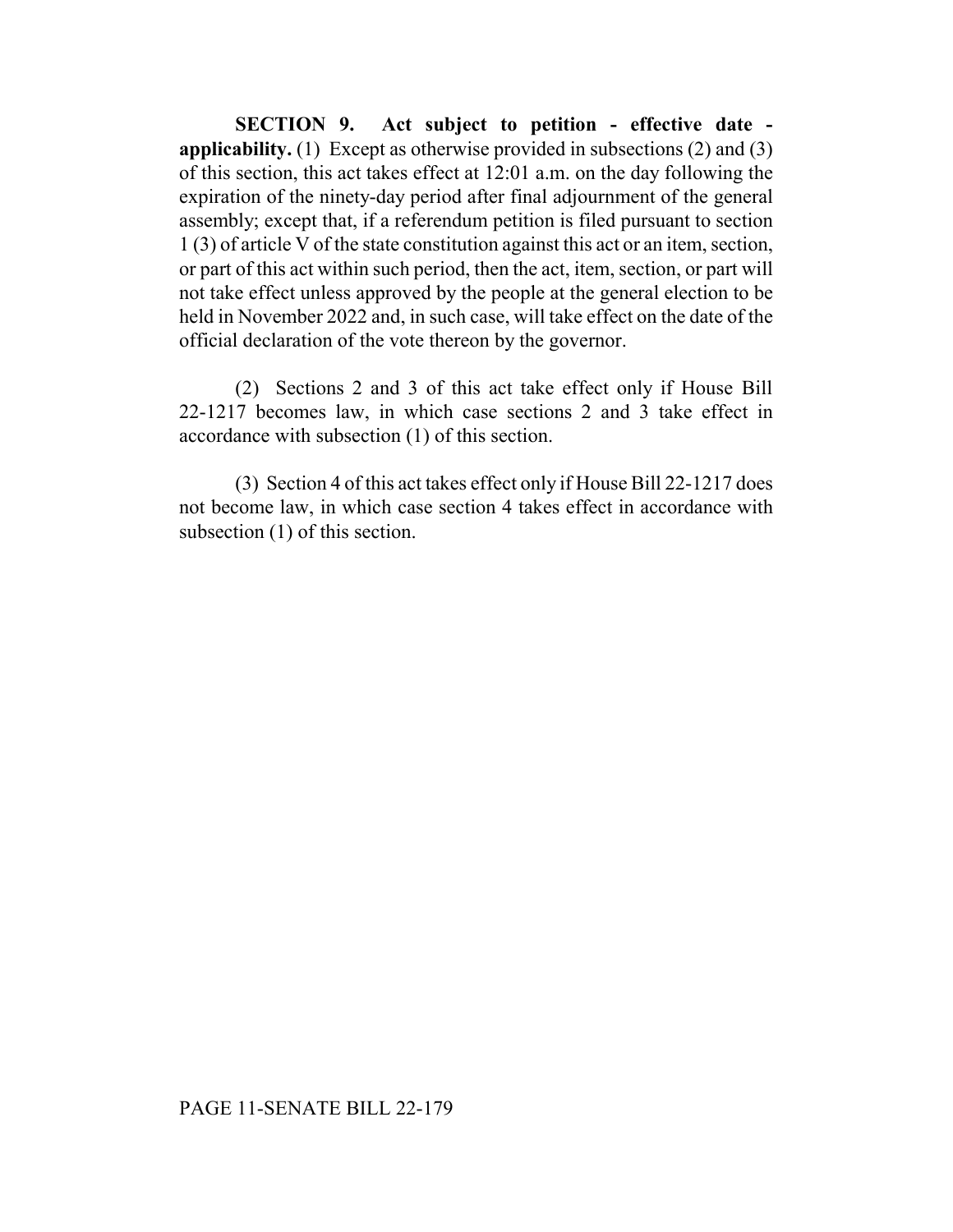**SECTION 9. Act subject to petition - effective date applicability.** (1) Except as otherwise provided in subsections (2) and (3) of this section, this act takes effect at 12:01 a.m. on the day following the expiration of the ninety-day period after final adjournment of the general assembly; except that, if a referendum petition is filed pursuant to section 1 (3) of article V of the state constitution against this act or an item, section, or part of this act within such period, then the act, item, section, or part will not take effect unless approved by the people at the general election to be held in November 2022 and, in such case, will take effect on the date of the official declaration of the vote thereon by the governor.

(2) Sections 2 and 3 of this act take effect only if House Bill 22-1217 becomes law, in which case sections 2 and 3 take effect in accordance with subsection (1) of this section.

(3) Section 4 of this act takes effect only if House Bill 22-1217 does not become law, in which case section 4 takes effect in accordance with subsection (1) of this section.